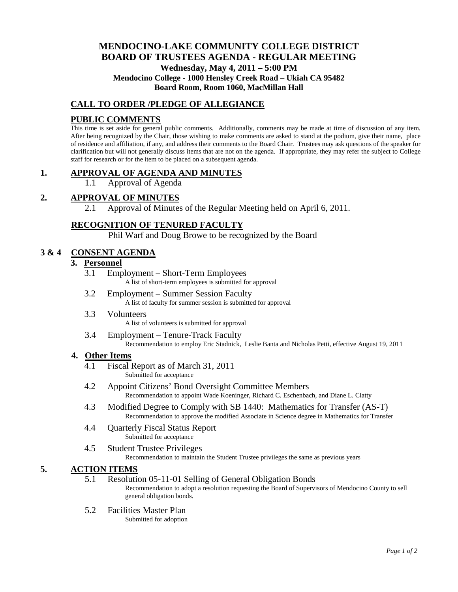# **MENDOCINO-LAKE COMMUNITY COLLEGE DISTRICT BOARD OF TRUSTEES AGENDA** - **REGULAR MEETING Wednesday, May 4, 2011 – 5:00 PM Mendocino College - 1000 Hensley Creek Road – Ukiah CA 95482 Board Room, Room 1060, MacMillan Hall**

### **CALL TO ORDER /PLEDGE OF ALLEGIANCE**

### **PUBLIC COMMENTS**

This time is set aside for general public comments. Additionally, comments may be made at time of discussion of any item. After being recognized by the Chair, those wishing to make comments are asked to stand at the podium, give their name, place of residence and affiliation, if any, and address their comments to the Board Chair. Trustees may ask questions of the speaker for clarification but will not generally discuss items that are not on the agenda. If appropriate, they may refer the subject to College staff for research or for the item to be placed on a subsequent agenda.

### **1. APPROVAL OF AGENDA AND MINUTES**

1.1 Approval of Agenda

### **2. APPROVAL OF MINUTES**

2.1 Approval of Minutes of the Regular Meeting held on April 6, 2011.

### **RECOGNITION OF TENURED FACULTY**

Phil Warf and Doug Browe to be recognized by the Board

### **3 & 4 CONSENT AGENDA**

### **3. Personnel**

- 3.1 Employment Short-Term Employees A list of short-term employees is submitted for approval
- 3.2 Employment Summer Session Faculty A list of faculty for summer session is submitted for approval
- 3.3 Volunteers A list of volunteers is submitted for approval
- 3.4 Employment Tenure-Track Faculty Recommendation to employ Eric Stadnick, Leslie Banta and Nicholas Petti, effective August 19, 2011

#### **4. Other Items**

- 4.1 Fiscal Report as of March 31, 2011 Submitted for acceptance
- 4.2 Appoint Citizens' Bond Oversight Committee Members Recommendation to appoint Wade Koeninger, Richard C. Eschenbach, and Diane L. Clatty
- 4.3 Modified Degree to Comply with SB 1440: Mathematics for Transfer (AS-T) Recommendation to approve the modified Associate in Science degree in Mathematics for Transfer
- 4.4 Quarterly Fiscal Status Report Submitted for acceptance
- 4.5 Student Trustee Privileges Recommendation to maintain the Student Trustee privileges the same as previous years

#### **5. ACTION ITEMS**

5.1 Resolution 05-11-01 Selling of General Obligation Bonds

Recommendation to adopt a resolution requesting the Board of Supervisors of Mendocino County to sell general obligation bonds.

5.2 Facilities Master Plan Submitted for adoption